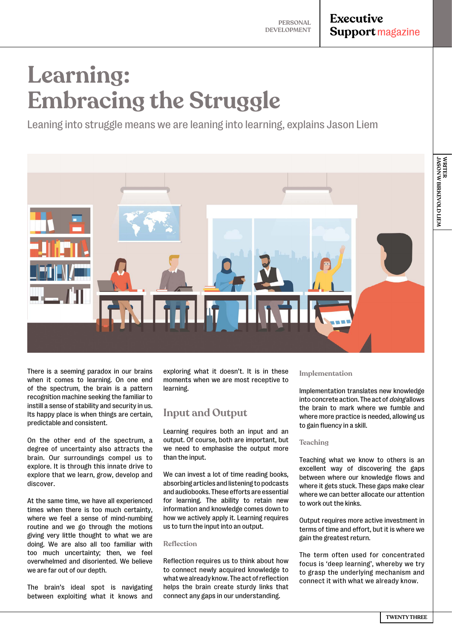# **Executive Support magazine**

**JASON W BIRKEVOLD LIEM**

WRITER<br>JASON W BIRKEVOLD LIEN

**WRITER**

# **Learning: Embracing the Struggle**

Leaning into struggle means we are leaning into learning, explains Jason Liem



There is a seeming paradox in our brains when it comes to learning. On one end of the spectrum, the brain is a pattern recognition machine seeking the familiar to instill a sense of stability and security in us. Its happy place is when things are certain, predictable and consistent.

On the other end of the spectrum, a degree of uncertainty also attracts the brain. Our surroundings compel us to explore. It is through this innate drive to explore that we learn, grow, develop and discover.

At the same time, we have all experienced times when there is too much certainty, where we feel a sense of mind-numbing routine and we go through the motions giving very little thought to what we are doing. We are also all too familiar with too much uncertainty; then, we feel overwhelmed and disoriented. We believe we are far out of our depth.

The brain's ideal spot is navigating between exploiting what it knows and exploring what it doesn't. It is in these moments when we are most receptive to learning.

# **Input and Output**

Learning requires both an input and an output. Of course, both are important, but we need to emphasise the output more than the input.

We can invest a lot of time reading books, absorbing articles and listening to podcasts and audiobooks. These efforts are essential for learning. The ability to retain new information and knowledge comes down to how we actively apply it. Learning requires us to turn the input into an output.

#### **Reflection**

Reflection requires us to think about how to connect newly acquired knowledge to what we already know. The act of reflection helps the brain create sturdy links that connect any gaps in our understanding.

#### **Implementation**

Implementation translates new knowledge into concrete action. The act of *doing* allows the brain to mark where we fumble and where more practice is needed, allowing us to gain fluency in a skill.

#### **Teaching**

Teaching what we know to others is an excellent way of discovering the gaps between where our knowledge flows and where it gets stuck. These gaps make clear where we can better allocate our attention to work out the kinks.

Output requires more active investment in terms of time and effort, but it is where we gain the greatest return.

The term often used for concentrated focus is 'deep learning', whereby we try to grasp the underlying mechanism and connect it with what we already know.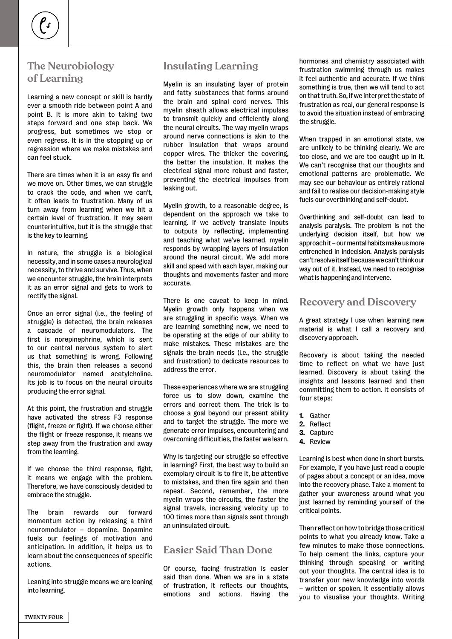# **The Neurobiology of Learning**

Learning a new concept or skill is hardly ever a smooth ride between point A and point B. It is more akin to taking two steps forward and one step back. We progress, but sometimes we stop or even regress. It is in the stopping up or regression where we make mistakes and can feel stuck.

There are times when it is an easy fix and we move on. Other times, we can struggle to crack the code, and when we can't, it often leads to frustration. Many of us turn away from learning when we hit a certain level of frustration. It may seem counterintuitive, but it is the struggle that is the key to learning.

In nature, the struggle is a biological necessity, and in some cases a neurological necessity, to thrive and survive. Thus, when we encounter struggle, the brain interprets it as an error signal and gets to work to rectify the signal.

Once an error signal (i.e., the feeling of struggle) is detected, the brain releases a cascade of neuromodulators. The first is norepinephrine, which is sent to our central nervous system to alert us that something is wrong. Following this, the brain then releases a second neuromodulator named acetylcholine. Its job is to focus on the neural circuits producing the error signal.

At this point, the frustration and struggle have activated the stress F3 response (flight, freeze or fight). If we choose either the flight or freeze response, it means we step away from the frustration and away from the learning.

If we choose the third response, fight, it means we engage with the problem. Therefore, we have consciously decided to embrace the struggle.

The brain rewards our forward momentum action by releasing a third neuromodulator – dopamine. Dopamine fuels our feelings of motivation and anticipation. In addition, it helps us to learn about the consequences of specific actions.

Leaning into struggle means we are leaning into learning.

## **Insulating Learning**

Myelin is an insulating layer of protein and fatty substances that forms around the brain and spinal cord nerves. This myelin sheath allows electrical impulses to transmit quickly and efficiently along the neural circuits. The way myelin wraps around nerve connections is akin to the rubber insulation that wraps around copper wires. The thicker the covering, the better the insulation. It makes the electrical signal more robust and faster, preventing the electrical impulses from leaking out.

Myelin growth, to a reasonable degree, is dependent on the approach we take to learning. If we actively translate inputs to outputs by reflecting, implementing and teaching what we've learned, myelin responds by wrapping layers of insulation around the neural circuit. We add more skill and speed with each layer, making our thoughts and movements faster and more accurate.

There is one caveat to keep in mind. Myelin growth only happens when we are struggling in specific ways. When we are learning something new, we need to be operating at the edge of our ability to make mistakes. These mistakes are the signals the brain needs (i.e., the struggle and frustration) to dedicate resources to address the error.

These experiences where we are struggling force us to slow down, examine the errors and correct them. The trick is to choose a goal beyond our present ability and to target the struggle. The more we generate error impulses, encountering and overcoming difficulties, the faster we learn.

Why is targeting our struggle so effective in learning? First, the best way to build an exemplary circuit is to fire it, be attentive to mistakes, and then fire again and then repeat. Second, remember, the more myelin wraps the circuits, the faster the signal travels, increasing velocity up to 100 times more than signals sent through an uninsulated circuit.

## **Easier Said Than Done**

Of course, facing frustration is easier said than done. When we are in a state of frustration, it reflects our thoughts, emotions and actions. Having the

hormones and chemistry associated with frustration swimming through us makes it feel authentic and accurate. If we think something is true, then we will tend to act on that truth. So, if we interpret the state of frustration as real, our general response is to avoid the situation instead of embracing the struggle.

When trapped in an emotional state, we are unlikely to be thinking clearly. We are too close, and we are too caught up in it. We can't recognise that our thoughts and emotional patterns are problematic. We may see our behaviour as entirely rational and fail to realise our decision-making style fuels our overthinking and self-doubt.

Overthinking and self-doubt can lead to analysis paralysis. The problem is not the underlying decision itself, but how we approach it – our mental habits make us more entrenched in indecision. Analysis paralysis can't resolve itself because we can't think our way out of it. Instead, we need to recognise what is happening and intervene.

### **Recovery and Discovery**

A great strategy I use when learning new material is what I call a recovery and discovery approach.

Recovery is about taking the needed time to reflect on what we have just learned. Discovery is about taking the insights and lessons learned and then committing them to action. It consists of four steps:

- **1.** Gather
- **2.** Reflect
- **3.** Capture
- **4.** Review

Learning is best when done in short bursts. For example, if you have just read a couple of pages about a concept or an idea, move into the recovery phase. Take a moment to gather your awareness around what you just learned by reminding yourself of the critical points.

Then reflect on how to bridge those critical points to what you already know. Take a few minutes to make those connections. To help cement the links, capture your thinking through speaking or writing out your thoughts. The central idea is to transfer your new knowledge into words – written or spoken. It essentially allows you to visualise your thoughts. Writing